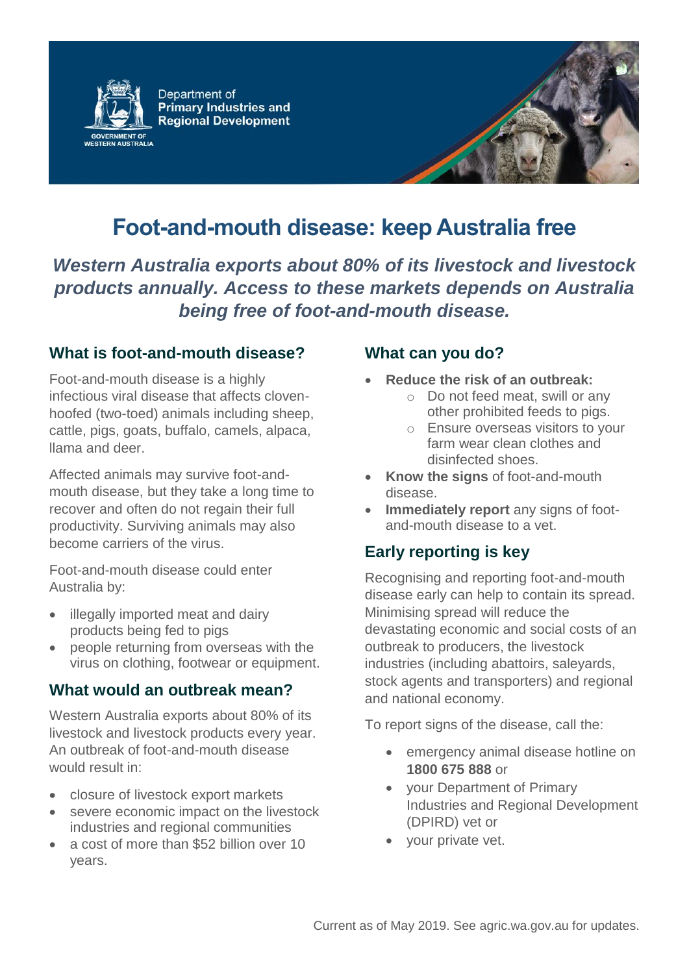

Department of **Primary Industries and Regional Development** 

# **Foot-and-mouth disease: keep Australia free**

*Western Australia exports about 80% of its livestock and livestock products annually. Access to these markets depends on Australia being free of foot-and-mouth disease.*

### **What is foot-and-mouth disease?**

Foot-and-mouth disease is a highly infectious viral disease that affects clovenhoofed (two-toed) animals including sheep, cattle, pigs, goats, buffalo, camels, alpaca, llama and deer.

Affected animals may survive foot-andmouth disease, but they take a long time to recover and often do not regain their full productivity. Surviving animals may also become carriers of the virus.

Foot-and-mouth disease could enter Australia by:

- illegally imported meat and dairy products being fed to pigs
- people returning from overseas with the virus on clothing, footwear or equipment.

### **What would an outbreak mean?**

Western Australia exports about 80% of its livestock and livestock products every year. An outbreak of foot-and-mouth disease would result in:

- closure of livestock export markets
- severe economic impact on the livestock industries and regional communities
- a cost of more than \$52 billion over 10 years.

### **What can you do?**

- **Reduce the risk of an outbreak:**
	- o Do not feed meat, swill or any other prohibited feeds to pigs.
	- o Ensure overseas visitors to your farm wear clean clothes and disinfected shoes.
- **Know the signs** of foot-and-mouth disease.
- **Immediately report** any signs of footand-mouth disease to a vet.

## **Early reporting is key**

Recognising and reporting foot-and-mouth disease early can help to contain its spread. Minimising spread will reduce the devastating economic and social costs of an outbreak to producers, the livestock industries (including abattoirs, saleyards, stock agents and transporters) and regional and national economy.

To report signs of the disease, call the:

- emergency animal disease hotline on **1800 675 888** or
- your Department of Primary Industries and Regional Development (DPIRD) vet or
- your private vet.